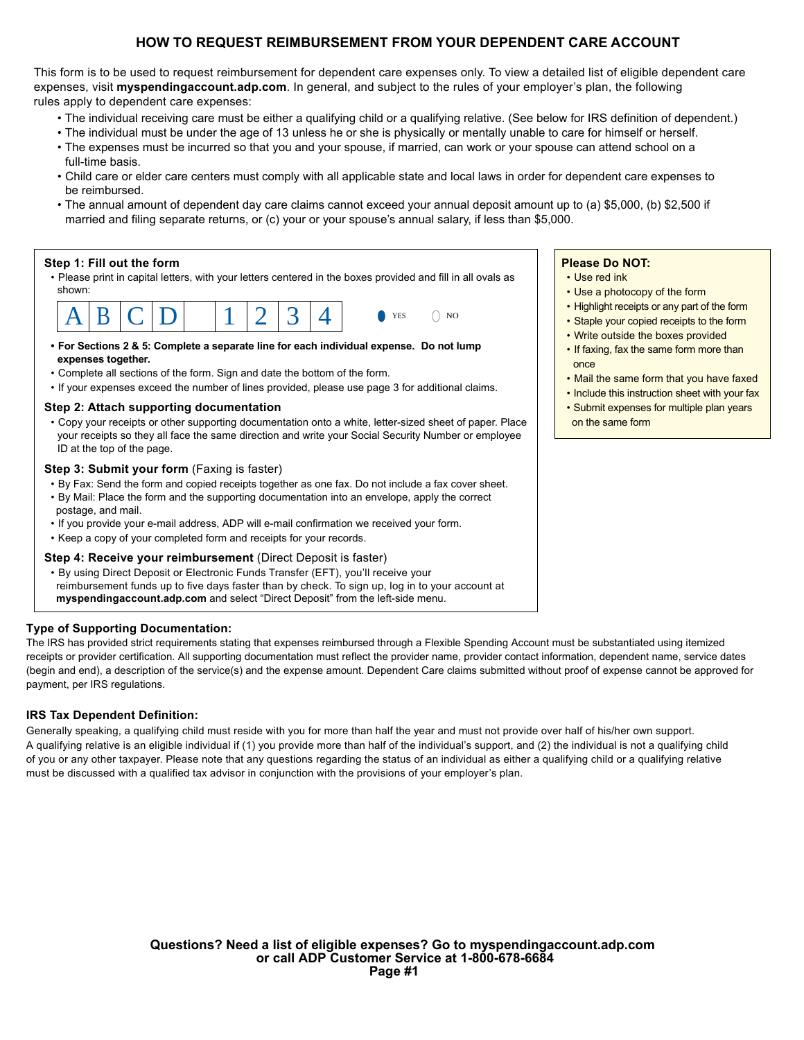### **HOW TO REQUEST REIMBURSEMENT FROM YOUR DEPENDENT CARE ACCOUNT**

This form is to be used to request reimbursement for dependent care expenses only. To view a detailed list of eligible dependent care expenses, visit **myspendingaccount.adp.com**. In general, and subject to the rules of your employer's plan, the following rules apply to dependent care expenses:

- The individual receiving care must be either a qualifying child or a qualifying relative. (See below for IRS definition of dependent.)
- The individual must be under the age of 13 unless he or she is physically or mentally unable to care for himself or herself.
- The expenses must be incurred so that you and your spouse, if married, can work or your spouse can attend school on a full-time basis.
- Child care or elder care centers must comply with all applicable state and local laws in order for dependent care expenses to be reimbursed.
- The annual amount of dependent day care claims cannot exceed your annual deposit amount up to (a) \$5,000, (b) \$2,500 if married and filing separate returns, or (c) your or your spouse's annual salary, if less than \$5,000.

#### **Step 1: Fill out the form**

• Please print in capital letters, with your letters centered in the boxes provided and fill in all ovals as shown:



- **For Sections 2 & 5: Complete a separate line for each individual expense. Do not lump expenses together.**
- Complete all sections of the form. Sign and date the bottom of the form.
- If your expenses exceed the number of lines provided, please use page 3 for additional claims.

#### **Step 2: Attach supporting documentation**

• Copy your receipts or other supporting documentation onto a white, letter-sized sheet of paper. Place your receipts so they all face the same direction and write your Social Security Number or employee ID at the top of the page.

#### **Step 3: Submit your form** (Faxing is faster)

- By Fax: Send the form and copied receipts together as one fax. Do not include a fax cover sheet.
- By Mail: Place the form and the supporting documentation into an envelope, apply the correct postage, and mail.
- If you provide your e-mail address, ADP will e-mail confirmation we received your form.
- Keep a copy of your completed form and receipts for your records.

### **Step 4: Receive your reimbursement (Direct Deposit is faster)**

• By using Direct Deposit or Electronic Funds Transfer (EFT), you'll receive your reimbursement funds up to five days faster than by check. To sign up, log in to your account at **myspendingaccount.adp.com** and select "Direct Deposit" from the left-side menu.

### **Type of Supporting Documentation:**

The IRS has provided strict requirements stating that expenses reimbursed through a Flexible Spending Account must be substantiated using itemized receipts or provider certification. All supporting documentation must reflect the provider name, provider contact information, dependent name, service dates (begin and end), a description of the service(s) and the expense amount. Dependent Care claims submitted without proof of expense cannot be approved for payment, per IRS regulations.

### **IRS Tax Dependent Definition:**

Generally speaking, a qualifying child must reside with you for more than half the year and must not provide over half of his/her own support. A qualifying relative is an eligible individual if (1) you provide more than half of the individual's support, and (2) the individual is not a qualifying child of you or any other taxpayer. Please note that any questions regarding the status of an individual as either a qualifying child or a qualifying relative must be discussed with a qualified tax advisor in conjunction with the provisions of your employer's plan.

# **Questions? Need a list of eligible expenses? Go to myspendingaccount.adp.com or call ADP Customer Service at 1-800-678-6684 Page #1**

#### **Please Do NOT:**

- Use red ink
- Use a photocopy of the form
- Highlight receipts or any part of the form
- Staple your copied receipts to the form
- Write outside the boxes provided
- If faxing, fax the same form more than once
- Mail the same form that you have faxed
- Include this instruction sheet with your fax
- Submit expenses for multiple plan years on the same form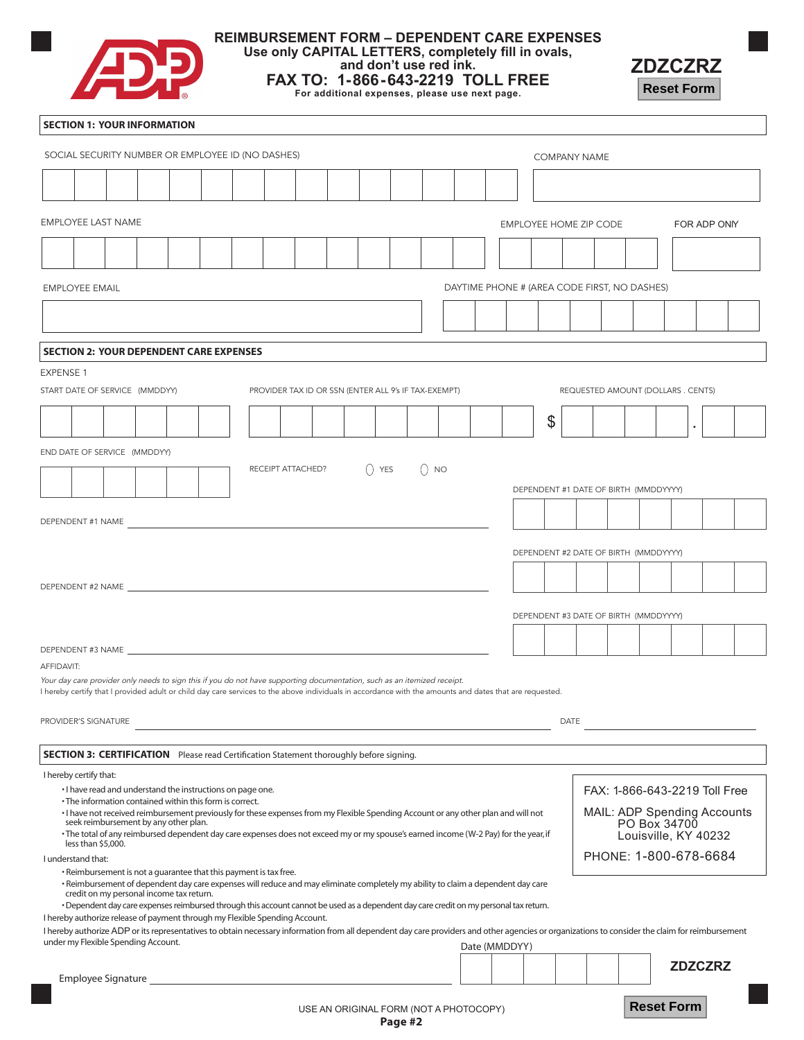

## **REIMBURSEMENT FORM – DEPENDENT CARE EXPENSES**

**Use only CAPITAL LETTERS, completely fill in ovals,**

**and don't use red ink.**

**FAX TO: 1-866-643-2219 TOLL FREE For additional expenses, please use next page.**



#### **SECTION 1: YOUR INFORMATION**

| SOCIAL SECURITY NUMBER OR EMPLOYEE ID (NO DASHES) |                                                                                        |  |  |  |                                                                                                                                                                                                                                                                                     |  |  |                                        |  |  |          |  | <b>COMPANY NAME</b>    |  |                                                                                                                                                                                   |                               |    |             |              |                                              |                   |  |                |  |
|---------------------------------------------------|----------------------------------------------------------------------------------------|--|--|--|-------------------------------------------------------------------------------------------------------------------------------------------------------------------------------------------------------------------------------------------------------------------------------------|--|--|----------------------------------------|--|--|----------|--|------------------------|--|-----------------------------------------------------------------------------------------------------------------------------------------------------------------------------------|-------------------------------|----|-------------|--------------|----------------------------------------------|-------------------|--|----------------|--|
|                                                   |                                                                                        |  |  |  |                                                                                                                                                                                                                                                                                     |  |  |                                        |  |  |          |  |                        |  |                                                                                                                                                                                   |                               |    |             |              |                                              |                   |  |                |  |
|                                                   |                                                                                        |  |  |  |                                                                                                                                                                                                                                                                                     |  |  |                                        |  |  |          |  |                        |  |                                                                                                                                                                                   |                               |    |             |              |                                              |                   |  |                |  |
|                                                   | <b>EMPLOYEE LAST NAME</b>                                                              |  |  |  |                                                                                                                                                                                                                                                                                     |  |  |                                        |  |  |          |  | EMPLOYEE HOME ZIP CODE |  |                                                                                                                                                                                   |                               |    |             | FOR ADP ONIY |                                              |                   |  |                |  |
|                                                   |                                                                                        |  |  |  |                                                                                                                                                                                                                                                                                     |  |  |                                        |  |  |          |  |                        |  |                                                                                                                                                                                   |                               |    |             |              |                                              |                   |  |                |  |
|                                                   |                                                                                        |  |  |  |                                                                                                                                                                                                                                                                                     |  |  |                                        |  |  |          |  |                        |  |                                                                                                                                                                                   |                               |    |             |              |                                              |                   |  |                |  |
|                                                   | <b>EMPLOYEE EMAIL</b>                                                                  |  |  |  |                                                                                                                                                                                                                                                                                     |  |  |                                        |  |  |          |  |                        |  |                                                                                                                                                                                   |                               |    |             |              | DAYTIME PHONE # (AREA CODE FIRST, NO DASHES) |                   |  |                |  |
|                                                   |                                                                                        |  |  |  |                                                                                                                                                                                                                                                                                     |  |  |                                        |  |  |          |  |                        |  |                                                                                                                                                                                   |                               |    |             |              |                                              |                   |  |                |  |
|                                                   |                                                                                        |  |  |  | <b>SECTION 2: YOUR DEPENDENT CARE EXPENSES</b>                                                                                                                                                                                                                                      |  |  |                                        |  |  |          |  |                        |  |                                                                                                                                                                                   |                               |    |             |              |                                              |                   |  |                |  |
| EXPENSE 1                                         |                                                                                        |  |  |  |                                                                                                                                                                                                                                                                                     |  |  |                                        |  |  |          |  |                        |  |                                                                                                                                                                                   |                               |    |             |              |                                              |                   |  |                |  |
|                                                   |                                                                                        |  |  |  |                                                                                                                                                                                                                                                                                     |  |  |                                        |  |  |          |  |                        |  |                                                                                                                                                                                   |                               |    |             |              | REQUESTED AMOUNT (DOLLARS . CENTS)           |                   |  |                |  |
|                                                   | START DATE OF SERVICE (MMDDYY)<br>PROVIDER TAX ID OR SSN (ENTER ALL 9's IF TAX-EXEMPT) |  |  |  |                                                                                                                                                                                                                                                                                     |  |  |                                        |  |  |          |  |                        |  |                                                                                                                                                                                   |                               |    |             |              |                                              |                   |  |                |  |
|                                                   |                                                                                        |  |  |  |                                                                                                                                                                                                                                                                                     |  |  |                                        |  |  |          |  |                        |  |                                                                                                                                                                                   |                               | \$ |             |              |                                              |                   |  |                |  |
|                                                   | END DATE OF SERVICE (MMDDYY)                                                           |  |  |  |                                                                                                                                                                                                                                                                                     |  |  |                                        |  |  |          |  |                        |  |                                                                                                                                                                                   |                               |    |             |              |                                              |                   |  |                |  |
|                                                   |                                                                                        |  |  |  |                                                                                                                                                                                                                                                                                     |  |  | RECEIPT ATTACHED?                      |  |  | $()$ YES |  | () NO                  |  |                                                                                                                                                                                   |                               |    |             |              |                                              |                   |  |                |  |
|                                                   |                                                                                        |  |  |  |                                                                                                                                                                                                                                                                                     |  |  |                                        |  |  |          |  |                        |  |                                                                                                                                                                                   |                               |    |             |              | DEPENDENT #1 DATE OF BIRTH (MMDDYYYY)        |                   |  |                |  |
|                                                   | DEPENDENT #1 NAME                                                                      |  |  |  |                                                                                                                                                                                                                                                                                     |  |  |                                        |  |  |          |  |                        |  |                                                                                                                                                                                   |                               |    |             |              |                                              |                   |  |                |  |
|                                                   |                                                                                        |  |  |  |                                                                                                                                                                                                                                                                                     |  |  |                                        |  |  |          |  |                        |  |                                                                                                                                                                                   |                               |    |             |              |                                              |                   |  |                |  |
|                                                   |                                                                                        |  |  |  |                                                                                                                                                                                                                                                                                     |  |  |                                        |  |  |          |  |                        |  |                                                                                                                                                                                   |                               |    |             |              | DEPENDENT #2 DATE OF BIRTH (MMDDYYYY)        |                   |  |                |  |
|                                                   |                                                                                        |  |  |  |                                                                                                                                                                                                                                                                                     |  |  |                                        |  |  |          |  |                        |  |                                                                                                                                                                                   |                               |    |             |              |                                              |                   |  |                |  |
|                                                   |                                                                                        |  |  |  |                                                                                                                                                                                                                                                                                     |  |  |                                        |  |  |          |  |                        |  |                                                                                                                                                                                   |                               |    |             |              |                                              |                   |  |                |  |
|                                                   |                                                                                        |  |  |  |                                                                                                                                                                                                                                                                                     |  |  |                                        |  |  |          |  |                        |  |                                                                                                                                                                                   |                               |    |             |              | DEPENDENT #3 DATE OF BIRTH (MMDDYYYY)        |                   |  |                |  |
|                                                   |                                                                                        |  |  |  |                                                                                                                                                                                                                                                                                     |  |  |                                        |  |  |          |  |                        |  |                                                                                                                                                                                   |                               |    |             |              |                                              |                   |  |                |  |
| AFFIDAVIT:                                        |                                                                                        |  |  |  |                                                                                                                                                                                                                                                                                     |  |  |                                        |  |  |          |  |                        |  |                                                                                                                                                                                   |                               |    |             |              |                                              |                   |  |                |  |
|                                                   |                                                                                        |  |  |  | Your day care provider only needs to sign this if you do not have supporting documentation, such as an itemized receipt.<br>I hereby certify that I provided adult or child day care services to the above individuals in accordance with the amounts and dates that are requested. |  |  |                                        |  |  |          |  |                        |  |                                                                                                                                                                                   |                               |    |             |              |                                              |                   |  |                |  |
|                                                   |                                                                                        |  |  |  |                                                                                                                                                                                                                                                                                     |  |  |                                        |  |  |          |  |                        |  |                                                                                                                                                                                   |                               |    |             |              |                                              |                   |  |                |  |
|                                                   | PROVIDER'S SIGNATURE                                                                   |  |  |  |                                                                                                                                                                                                                                                                                     |  |  |                                        |  |  |          |  |                        |  |                                                                                                                                                                                   |                               |    | <b>DATE</b> |              |                                              |                   |  |                |  |
|                                                   |                                                                                        |  |  |  | <b>SECTION 3: CERTIFICATION</b> Please read Certification Statement thoroughly before signing.                                                                                                                                                                                      |  |  |                                        |  |  |          |  |                        |  |                                                                                                                                                                                   |                               |    |             |              |                                              |                   |  |                |  |
|                                                   | I hereby certify that:                                                                 |  |  |  |                                                                                                                                                                                                                                                                                     |  |  |                                        |  |  |          |  |                        |  |                                                                                                                                                                                   |                               |    |             |              |                                              |                   |  |                |  |
|                                                   |                                                                                        |  |  |  | . I have read and understand the instructions on page one.<br>• The information contained within this form is correct.                                                                                                                                                              |  |  |                                        |  |  |          |  |                        |  |                                                                                                                                                                                   | FAX: 1-866-643-2219 Toll Free |    |             |              |                                              |                   |  |                |  |
|                                                   | seek reimbursement by any other plan.                                                  |  |  |  |                                                                                                                                                                                                                                                                                     |  |  |                                        |  |  |          |  |                        |  | MAIL: ADP Spending Accounts<br>· I have not received reimbursement previously for these expenses from my Flexible Spending Account or any other plan and will not<br>PO Box 34700 |                               |    |             |              |                                              |                   |  |                |  |
|                                                   | less than \$5,000.                                                                     |  |  |  | • The total of any reimbursed dependent day care expenses does not exceed my or my spouse's earned income (W-2 Pay) for the year, if                                                                                                                                                |  |  |                                        |  |  |          |  |                        |  |                                                                                                                                                                                   |                               |    |             |              | Louisville, KY 40232                         |                   |  |                |  |
|                                                   | I understand that:                                                                     |  |  |  |                                                                                                                                                                                                                                                                                     |  |  |                                        |  |  |          |  |                        |  |                                                                                                                                                                                   |                               |    |             |              | PHONE: 1-800-678-6684                        |                   |  |                |  |
|                                                   |                                                                                        |  |  |  | • Reimbursement is not a guarantee that this payment is tax free.<br>· Reimbursement of dependent day care expenses will reduce and may eliminate completely my ability to claim a dependent day care                                                                               |  |  |                                        |  |  |          |  |                        |  |                                                                                                                                                                                   |                               |    |             |              |                                              |                   |  |                |  |
|                                                   | credit on my personal income tax return.                                               |  |  |  | • Dependent day care expenses reimbursed through this account cannot be used as a dependent day care credit on my personal tax return.                                                                                                                                              |  |  |                                        |  |  |          |  |                        |  |                                                                                                                                                                                   |                               |    |             |              |                                              |                   |  |                |  |
|                                                   |                                                                                        |  |  |  | I hereby authorize release of payment through my Flexible Spending Account.                                                                                                                                                                                                         |  |  |                                        |  |  |          |  |                        |  |                                                                                                                                                                                   |                               |    |             |              |                                              |                   |  |                |  |
|                                                   | under my Flexible Spending Account.                                                    |  |  |  | I hereby authorize ADP or its representatives to obtain necessary information from all dependent day care providers and other agencies or organizations to consider the claim for reimbursement                                                                                     |  |  |                                        |  |  |          |  |                        |  | Date (MMDDYY)                                                                                                                                                                     |                               |    |             |              |                                              |                   |  |                |  |
|                                                   |                                                                                        |  |  |  |                                                                                                                                                                                                                                                                                     |  |  |                                        |  |  |          |  |                        |  |                                                                                                                                                                                   |                               |    |             |              |                                              |                   |  | <b>ZDZCZRZ</b> |  |
|                                                   | Employee Signature                                                                     |  |  |  |                                                                                                                                                                                                                                                                                     |  |  |                                        |  |  |          |  |                        |  |                                                                                                                                                                                   |                               |    |             |              |                                              |                   |  |                |  |
|                                                   |                                                                                        |  |  |  |                                                                                                                                                                                                                                                                                     |  |  | USE AN ORIGINAL FORM (NOT A PHOTOCOPY) |  |  |          |  |                        |  |                                                                                                                                                                                   |                               |    |             |              |                                              | <b>Reset Form</b> |  |                |  |

USE AN ORIGINAL FORM (NOT A PHOTOCOPY)